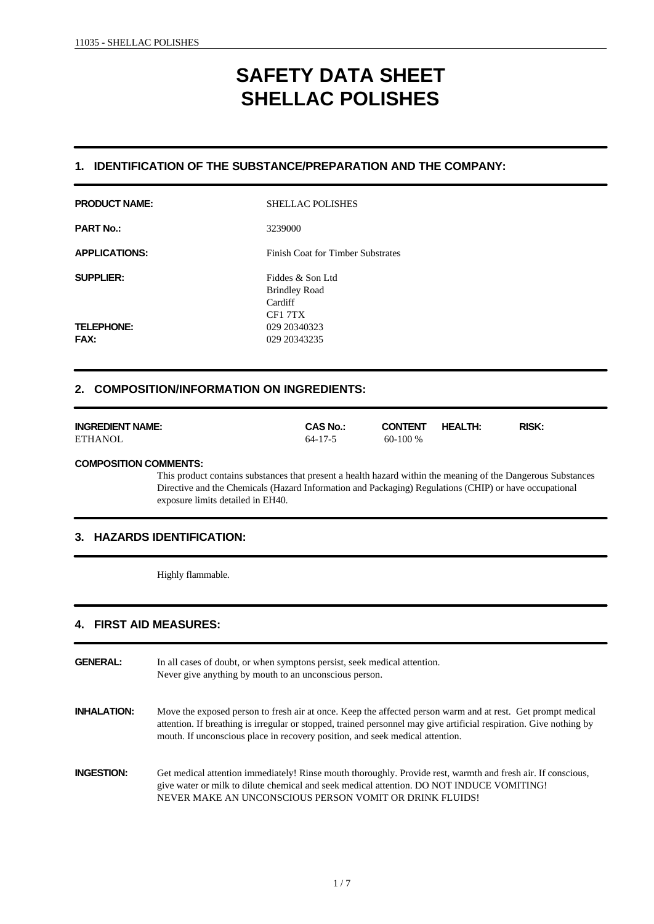# **SAFETY DATA SHEET SHELLAC POLISHES**

# **1. IDENTIFICATION OF THE SUBSTANCE/PREPARATION AND THE COMPANY:**

| <b>SHELLAC POLISHES</b>                             |
|-----------------------------------------------------|
| 3239000                                             |
| <b>Finish Coat for Timber Substrates</b>            |
| Fiddes & Son Ltd<br><b>Brindley Road</b><br>Cardiff |
| CF1 7TX                                             |
| 029 20340323                                        |
| 029 20343235                                        |
|                                                     |
|                                                     |

# **2. COMPOSITION/INFORMATION ON INGREDIENTS:**

| <b>INGREDIENT NAME:</b> | <b>CAS No.:</b> | <b>CONTENT</b> | <b>HEALTH:</b> | <b>RISK:</b> |
|-------------------------|-----------------|----------------|----------------|--------------|
| <b>ETHANOL</b>          | 64-17-5         | $60-100\%$     |                |              |

#### **COMPOSITION COMMENTS:**

This product contains substances that present a health hazard within the meaning of the Dangerous Substances Directive and the Chemicals (Hazard Information and Packaging) Regulations (CHIP) or have occupational exposure limits detailed in EH40.

# **3. HAZARDS IDENTIFICATION:**

Highly flammable.

# **4. FIRST AID MEASURES:**

| <b>GENERAL:</b>    | In all cases of doubt, or when symptons persist, seek medical attention.<br>Never give anything by mouth to an unconscious person.                                                                                                                                                                                  |
|--------------------|---------------------------------------------------------------------------------------------------------------------------------------------------------------------------------------------------------------------------------------------------------------------------------------------------------------------|
| <b>INHALATION:</b> | Move the exposed person to fresh air at once. Keep the affected person warm and at rest. Get prompt medical<br>attention. If breathing is irregular or stopped, trained personnel may give artificial respiration. Give nothing by<br>mouth. If unconscious place in recovery position, and seek medical attention. |
| <b>INGESTION:</b>  | Get medical attention immediately! Rinse mouth thoroughly. Provide rest, warmth and fresh air. If conscious,<br>give water or milk to dilute chemical and seek medical attention. DO NOT INDUCE VOMITING!<br>NEVER MAKE AN UNCONSCIOUS PERSON VOMIT OR DRINK FLUIDS!                                                |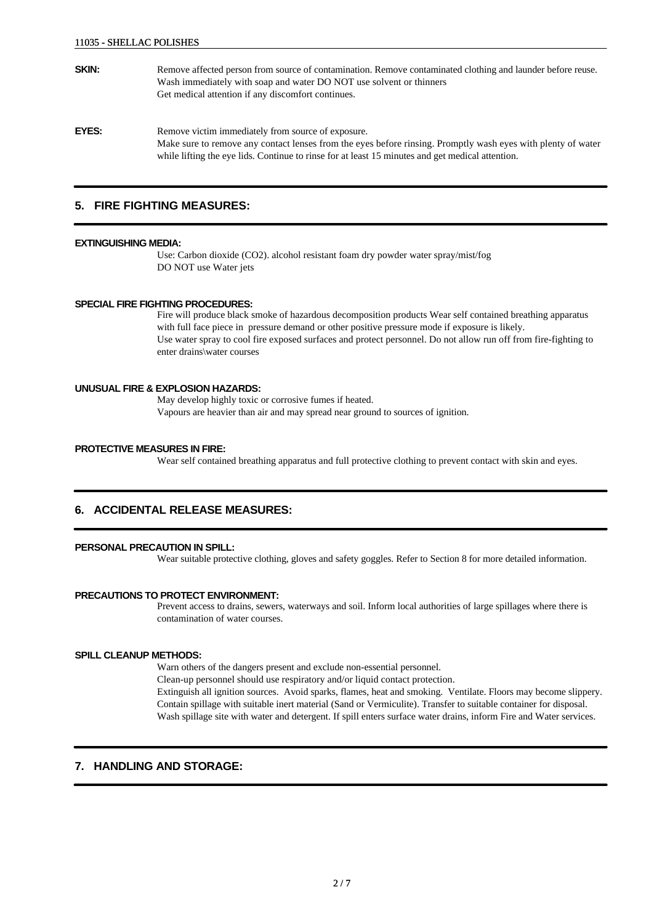- **SKIN:** Remove affected person from source of contamination. Remove contaminated clothing and launder before reuse. Wash immediately with soap and water DO NOT use solvent or thinners Get medical attention if any discomfort continues. **EYES:** Remove victim immediately from source of exposure.
	- Make sure to remove any contact lenses from the eyes before rinsing. Promptly wash eyes with plenty of water while lifting the eye lids. Continue to rinse for at least 15 minutes and get medical attention.

## **5. FIRE FIGHTING MEASURES:**

#### **EXTINGUISHING MEDIA:**

Use: Carbon dioxide (CO2). alcohol resistant foam dry powder water spray/mist/fog DO NOT use Water jets

#### **SPECIAL FIRE FIGHTING PROCEDURES:**

Fire will produce black smoke of hazardous decomposition products Wear self contained breathing apparatus with full face piece in pressure demand or other positive pressure mode if exposure is likely. Use water spray to cool fire exposed surfaces and protect personnel. Do not allow run off from fire-fighting to enter drains\water courses

#### **UNUSUAL FIRE & EXPLOSION HAZARDS:**

May develop highly toxic or corrosive fumes if heated. Vapours are heavier than air and may spread near ground to sources of ignition.

#### **PROTECTIVE MEASURES IN FIRE:**

Wear self contained breathing apparatus and full protective clothing to prevent contact with skin and eyes.

## **6. ACCIDENTAL RELEASE MEASURES:**

#### **PERSONAL PRECAUTION IN SPILL:**

Wear suitable protective clothing, gloves and safety goggles. Refer to Section 8 for more detailed information.

#### **PRECAUTIONS TO PROTECT ENVIRONMENT:**

Prevent access to drains, sewers, waterways and soil. Inform local authorities of large spillages where there is contamination of water courses.

#### **SPILL CLEANUP METHODS:**

Warn others of the dangers present and exclude non-essential personnel.

Clean-up personnel should use respiratory and/or liquid contact protection.

Extinguish all ignition sources. Avoid sparks, flames, heat and smoking. Ventilate. Floors may become slippery. Contain spillage with suitable inert material (Sand or Vermiculite). Transfer to suitable container for disposal. Wash spillage site with water and detergent. If spill enters surface water drains, inform Fire and Water services.

## **7. HANDLING AND STORAGE:**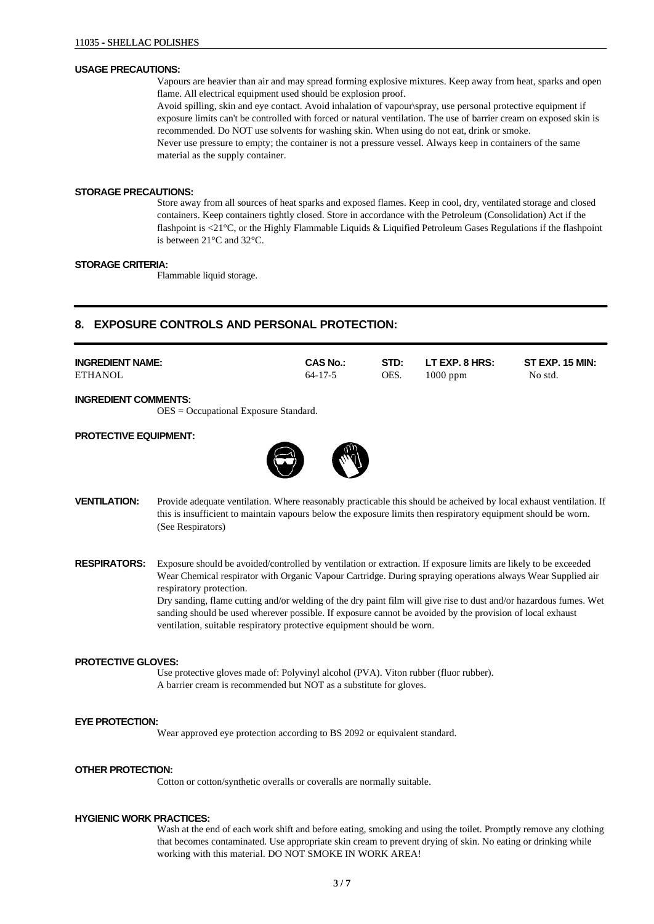#### **USAGE PRECAUTIONS:**

Vapours are heavier than air and may spread forming explosive mixtures. Keep away from heat, sparks and open flame. All electrical equipment used should be explosion proof.

Avoid spilling, skin and eye contact. Avoid inhalation of vapour\spray, use personal protective equipment if exposure limits can't be controlled with forced or natural ventilation. The use of barrier cream on exposed skin is recommended. Do NOT use solvents for washing skin. When using do not eat, drink or smoke. Never use pressure to empty; the container is not a pressure vessel. Always keep in containers of the same material as the supply container.

#### **STORAGE PRECAUTIONS:**

Store away from all sources of heat sparks and exposed flames. Keep in cool, dry, ventilated storage and closed containers. Keep containers tightly closed. Store in accordance with the Petroleum (Consolidation) Act if the flashpoint is <21°C, or the Highly Flammable Liquids & Liquified Petroleum Gases Regulations if the flashpoint is between 21°C and 32°C.

#### **STORAGE CRITERIA:**

Flammable liquid storage.

# **8. EXPOSURE CONTROLS AND PERSONAL PROTECTION:**

| <b>INGREDIENT NAME:</b><br><b>ETHANOL</b>                              | <b>CAS No.:</b><br>$64 - 17 - 5$ | STD:<br>OES. | LT EXP. 8 HRS:<br>$1000$ ppm | <b>ST EXP. 15 MIN:</b><br>No std. |
|------------------------------------------------------------------------|----------------------------------|--------------|------------------------------|-----------------------------------|
| <b>INGREDIENT COMMENTS:</b><br>$OES = Occupational Exposure Standard.$ |                                  |              |                              |                                   |
| <b>PROTECTIVE EQUIPMENT:</b>                                           |                                  |              |                              |                                   |

**VENTILATION:** Provide adequate ventilation. Where reasonably practicable this should be acheived by local exhaust ventilation. If this is insufficient to maintain vapours below the exposure limits then respiratory equipment should be worn. (See Respirators)

**RESPIRATORS:** Exposure should be avoided/controlled by ventilation or extraction. If exposure limits are likely to be exceeded Wear Chemical respirator with Organic Vapour Cartridge. During spraying operations always Wear Supplied air respiratory protection.

Dry sanding, flame cutting and/or welding of the dry paint film will give rise to dust and/or hazardous fumes. Wet sanding should be used wherever possible. If exposure cannot be avoided by the provision of local exhaust ventilation, suitable respiratory protective equipment should be worn.

#### **PROTECTIVE GLOVES:**

Use protective gloves made of: Polyvinyl alcohol (PVA). Viton rubber (fluor rubber). A barrier cream is recommended but NOT as a substitute for gloves.

#### **EYE PROTECTION:**

Wear approved eye protection according to BS 2092 or equivalent standard.

#### **OTHER PROTECTION:**

Cotton or cotton/synthetic overalls or coveralls are normally suitable.

#### **HYGIENIC WORK PRACTICES:**

Wash at the end of each work shift and before eating, smoking and using the toilet. Promptly remove any clothing that becomes contaminated. Use appropriate skin cream to prevent drying of skin. No eating or drinking while working with this material. DO NOT SMOKE IN WORK AREA!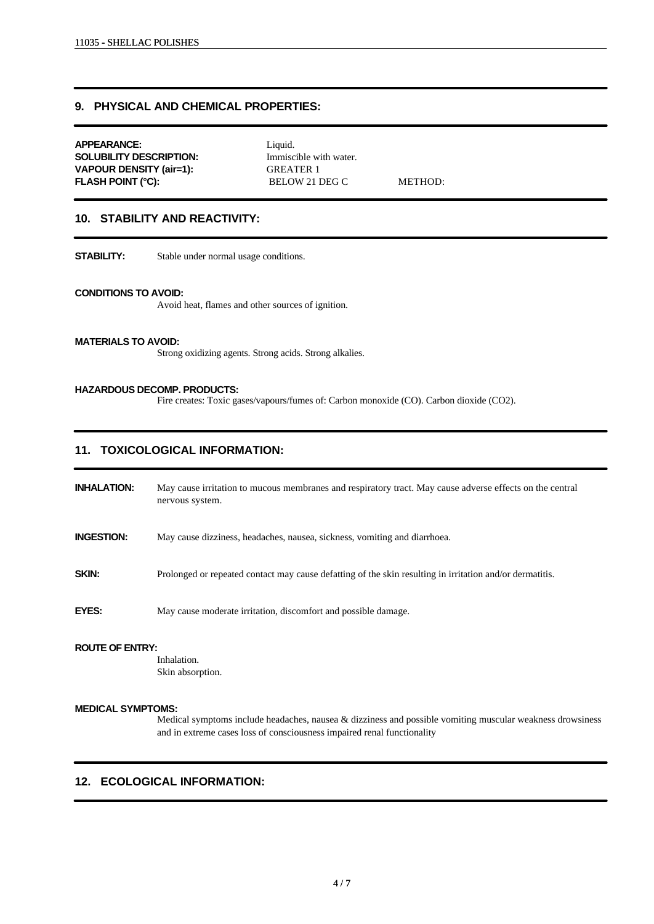## **9. PHYSICAL AND CHEMICAL PROPERTIES:**

| <b>APPEARANCE:</b>             | Liquid.                |         |
|--------------------------------|------------------------|---------|
| SOLUBILITY DESCRIPTION:        | Immiscible with water. |         |
| <b>VAPOUR DENSITY (air=1):</b> | <b>GREATER 1</b>       |         |
| <b>FLASH POINT (°C):</b>       | BELOW 21 DEG C         | METHOD: |
|                                |                        |         |

## **10. STABILITY AND REACTIVITY:**

**STABILITY:** Stable under normal usage conditions.

#### **CONDITIONS TO AVOID:**

Avoid heat, flames and other sources of ignition.

#### **MATERIALS TO AVOID:**

Strong oxidizing agents. Strong acids. Strong alkalies.

#### **HAZARDOUS DECOMP. PRODUCTS:**

Fire creates: Toxic gases/vapours/fumes of: Carbon monoxide (CO). Carbon dioxide (CO2).

## **11. TOXICOLOGICAL INFORMATION:**

**INHALATION:** May cause irritation to mucous membranes and respiratory tract. May cause adverse effects on the central nervous system.

**INGESTION:** May cause dizziness, headaches, nausea, sickness, vomiting and diarrhoea.

**SKIN:** Prolonged or repeated contact may cause defatting of the skin resulting in irritation and/or dermatitis.

**EYES:** May cause moderate irritation, discomfort and possible damage.

#### **ROUTE OF ENTRY:**

Inhalation. Skin absorption.

#### **MEDICAL SYMPTOMS:**

Medical symptoms include headaches, nausea & dizziness and possible vomiting muscular weakness drowsiness and in extreme cases loss of consciousness impaired renal functionality

## **12. ECOLOGICAL INFORMATION:**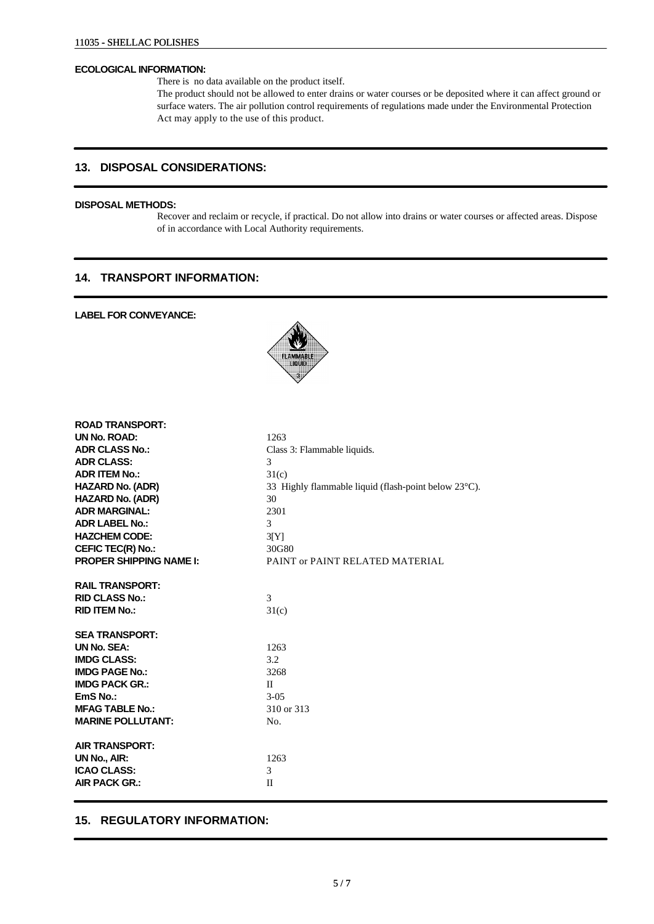#### **ECOLOGICAL INFORMATION:**

There is no data available on the product itself.

The product should not be allowed to enter drains or water courses or be deposited where it can affect ground or surface waters. The air pollution control requirements of regulations made under the Environmental Protection Act may apply to the use of this product.

# **13. DISPOSAL CONSIDERATIONS:**

## **DISPOSAL METHODS:**

Recover and reclaim or recycle, if practical. Do not allow into drains or water courses or affected areas. Dispose of in accordance with Local Authority requirements.

## **14. TRANSPORT INFORMATION:**

## **LABEL FOR CONVEYANCE:**



| <b>ROAD TRANSPORT:</b>         |                                                                |
|--------------------------------|----------------------------------------------------------------|
| UN No. ROAD:                   | 1263                                                           |
| <b>ADR CLASS No.:</b>          | Class 3: Flammable liquids.                                    |
| <b>ADR CLASS:</b>              | 3                                                              |
| <b>ADR ITEM No.:</b>           | 31(c)                                                          |
| <b>HAZARD No. (ADR)</b>        | 33 Highly flammable liquid (flash-point below $23^{\circ}$ C). |
| <b>HAZARD No. (ADR)</b>        | 30                                                             |
| <b>ADR MARGINAL:</b>           | 2301                                                           |
| <b>ADR LABEL No.:</b>          | 3                                                              |
| <b>HAZCHEM CODE:</b>           | 3[Y]                                                           |
| CEFIC TEC(R) No.:              | 30G80                                                          |
| <b>PROPER SHIPPING NAME I:</b> | PAINT or PAINT RELATED MATERIAL                                |
| <b>RAIL TRANSPORT:</b>         |                                                                |
| <b>RID CLASS No.:</b>          | 3                                                              |
| <b>RID ITEM No.:</b>           | 31(c)                                                          |
|                                |                                                                |
| <b>SEA TRANSPORT:</b>          |                                                                |
| UN No. SEA:                    | 1263                                                           |
| <b>IMDG CLASS:</b>             | 3.2                                                            |
| <b>IMDG PAGE No.:</b>          | 3268                                                           |
| <b>IMDG PACK GR.:</b>          | $\mathbf{H}$                                                   |
| EmS No.:                       | $3-0.5$                                                        |
| <b>MFAG TABLE No.:</b>         | 310 or 313                                                     |
| <b>MARINE POLLUTANT:</b>       | No.                                                            |
| <b>AIR TRANSPORT:</b>          |                                                                |
| UN No., AIR:                   | 1263                                                           |
| <b>ICAO CLASS:</b>             | 3                                                              |
| <b>AIR PACK GR.:</b>           | $\mathbf{I}$                                                   |
|                                |                                                                |

## **15. REGULATORY INFORMATION:**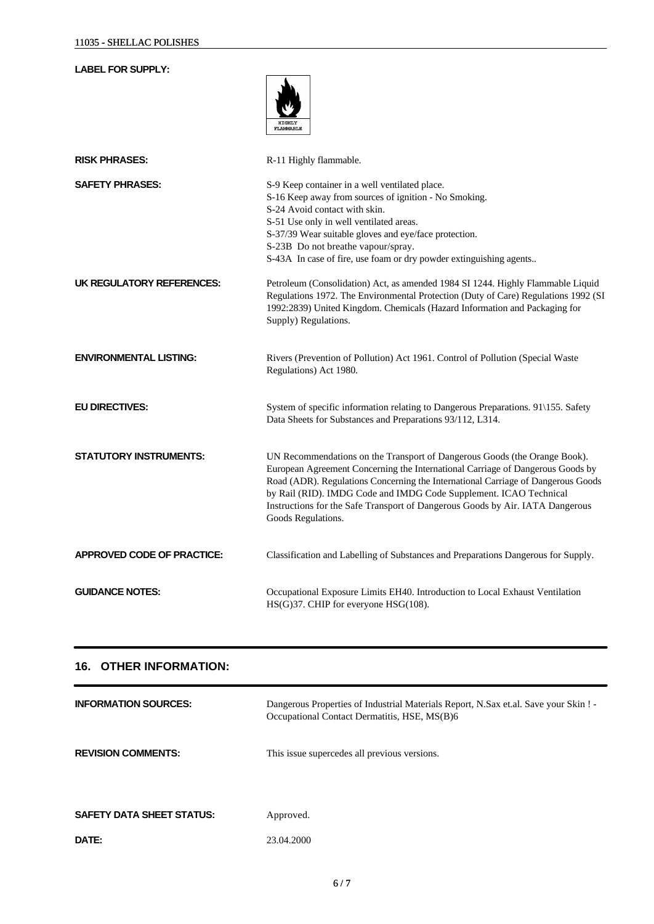# **LABEL FOR SUPPLY:**

|                                   | <b>HTGHT.Y</b><br><b>FLAMMABLE</b>                                                                                                                                                                                                                                                                                                                                                                                          |
|-----------------------------------|-----------------------------------------------------------------------------------------------------------------------------------------------------------------------------------------------------------------------------------------------------------------------------------------------------------------------------------------------------------------------------------------------------------------------------|
| <b>RISK PHRASES:</b>              | R-11 Highly flammable.                                                                                                                                                                                                                                                                                                                                                                                                      |
| <b>SAFETY PHRASES:</b>            | S-9 Keep container in a well ventilated place.<br>S-16 Keep away from sources of ignition - No Smoking.<br>S-24 Avoid contact with skin.<br>S-51 Use only in well ventilated areas.<br>S-37/39 Wear suitable gloves and eye/face protection.<br>S-23B Do not breathe vapour/spray.<br>S-43A In case of fire, use foam or dry powder extinguishing agents                                                                    |
| UK REGULATORY REFERENCES:         | Petroleum (Consolidation) Act, as amended 1984 SI 1244. Highly Flammable Liquid<br>Regulations 1972. The Environmental Protection (Duty of Care) Regulations 1992 (SI<br>1992:2839) United Kingdom. Chemicals (Hazard Information and Packaging for<br>Supply) Regulations.                                                                                                                                                 |
| <b>ENVIRONMENTAL LISTING:</b>     | Rivers (Prevention of Pollution) Act 1961. Control of Pollution (Special Waste<br>Regulations) Act 1980.                                                                                                                                                                                                                                                                                                                    |
| <b>EU DIRECTIVES:</b>             | System of specific information relating to Dangerous Preparations. 91\155. Safety<br>Data Sheets for Substances and Preparations 93/112, L314.                                                                                                                                                                                                                                                                              |
| <b>STATUTORY INSTRUMENTS:</b>     | UN Recommendations on the Transport of Dangerous Goods (the Orange Book).<br>European Agreement Concerning the International Carriage of Dangerous Goods by<br>Road (ADR). Regulations Concerning the International Carriage of Dangerous Goods<br>by Rail (RID). IMDG Code and IMDG Code Supplement. ICAO Technical<br>Instructions for the Safe Transport of Dangerous Goods by Air. IATA Dangerous<br>Goods Regulations. |
| <b>APPROVED CODE OF PRACTICE:</b> | Classification and Labelling of Substances and Preparations Dangerous for Supply.                                                                                                                                                                                                                                                                                                                                           |
| <b>GUIDANCE NOTES:</b>            | Occupational Exposure Limits EH40. Introduction to Local Exhaust Ventilation<br>HS(G)37. CHIP for everyone HSG(108).                                                                                                                                                                                                                                                                                                        |

# **16. OTHER INFORMATION:**

| <b>INFORMATION SOURCES:</b>      | Dangerous Properties of Industrial Materials Report, N.Sax et.al. Save your Skin! -<br>Occupational Contact Dermatitis, HSE, MS(B)6 |
|----------------------------------|-------------------------------------------------------------------------------------------------------------------------------------|
| <b>REVISION COMMENTS:</b>        | This issue supercedes all previous versions.                                                                                        |
| <b>SAFETY DATA SHEET STATUS:</b> | Approved.                                                                                                                           |
| DATE:                            | 23.04.2000                                                                                                                          |